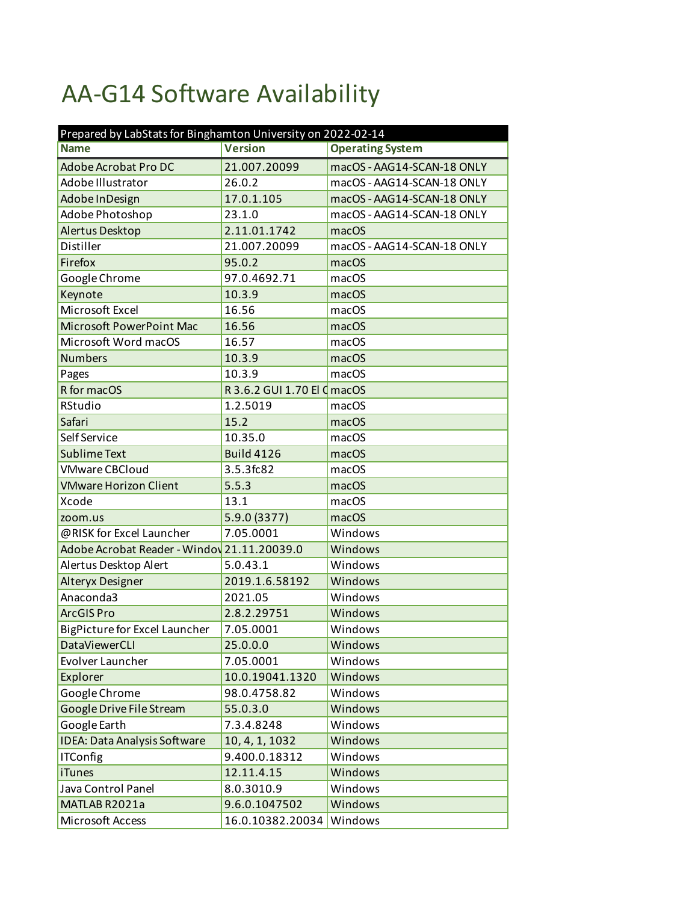## AA-G14 Software Availability

| Prepared by LabStats for Binghamton University on 2022-02-14 |                             |                            |  |
|--------------------------------------------------------------|-----------------------------|----------------------------|--|
| <b>Name</b>                                                  | <b>Version</b>              | <b>Operating System</b>    |  |
| Adobe Acrobat Pro DC                                         | 21.007.20099                | macOS - AAG14-SCAN-18 ONLY |  |
| Adobe Illustrator                                            | 26.0.2                      | macOS - AAG14-SCAN-18 ONLY |  |
| Adobe In Design                                              | 17.0.1.105                  | macOS - AAG14-SCAN-18 ONLY |  |
| Adobe Photoshop                                              | 23.1.0                      | macOS - AAG14-SCAN-18 ONLY |  |
| Alertus Desktop                                              | 2.11.01.1742                | macOS                      |  |
| Distiller                                                    | 21.007.20099                | macOS - AAG14-SCAN-18 ONLY |  |
| Firefox                                                      | 95.0.2                      | macOS                      |  |
| Google Chrome                                                | 97.0.4692.71                | macOS                      |  |
| Keynote                                                      | 10.3.9                      | macOS                      |  |
| Microsoft Excel                                              | 16.56                       | macOS                      |  |
| Microsoft PowerPoint Mac                                     | 16.56                       | macOS                      |  |
| Microsoft Word macOS                                         | 16.57                       | macOS                      |  |
| <b>Numbers</b>                                               | 10.3.9                      | macOS                      |  |
| Pages                                                        | 10.3.9                      | macOS                      |  |
| R for macOS                                                  | R 3.6.2 GUI 1.70 El C macOS |                            |  |
| RStudio                                                      | 1.2.5019                    | macOS                      |  |
| Safari                                                       | 15.2                        | macOS                      |  |
| Self Service                                                 | 10.35.0                     | macOS                      |  |
| <b>Sublime Text</b>                                          | <b>Build 4126</b>           | macOS                      |  |
| <b>VMware CBCloud</b>                                        | 3.5.3fc82                   | macOS                      |  |
| <b>VMware Horizon Client</b>                                 | 5.5.3                       | macOS                      |  |
| Xcode                                                        | 13.1                        | macOS                      |  |
| zoom.us                                                      | 5.9.0 (3377)                | macOS                      |  |
| @RISK for Excel Launcher                                     | 7.05.0001                   | Windows                    |  |
| Adobe Acrobat Reader - Windov 21.11.20039.0                  |                             | Windows                    |  |
| Alertus Desktop Alert                                        | 5.0.43.1                    | Windows                    |  |
| Alteryx Designer                                             | 2019.1.6.58192              | Windows                    |  |
| Anaconda3                                                    | 2021.05                     | Windows                    |  |
| <b>ArcGIS Pro</b>                                            | 2.8.2.29751                 | Windows                    |  |
| <b>BigPicture for Excel Launcher</b>                         | 7.05.0001                   | Windows                    |  |
| <b>DataViewerCLI</b>                                         | 25.0.0.0                    | Windows                    |  |
| Evolver Launcher                                             | 7.05.0001                   | Windows                    |  |
| Explorer                                                     | 10.0.19041.1320             | Windows                    |  |
| Google Chrome                                                | 98.0.4758.82                | Windows                    |  |
| Google Drive File Stream                                     | 55.0.3.0                    | Windows                    |  |
| Google Earth                                                 | 7.3.4.8248                  | Windows                    |  |
| <b>IDEA: Data Analysis Software</b>                          | 10, 4, 1, 1032              | Windows                    |  |
| <b>ITConfig</b>                                              | 9.400.0.18312               | Windows                    |  |
| <b>iTunes</b>                                                | 12.11.4.15                  | Windows                    |  |
| Java Control Panel                                           | 8.0.3010.9                  | Windows                    |  |
| MATLAB R2021a                                                | 9.6.0.1047502               | Windows                    |  |
| Microsoft Access                                             | 16.0.10382.20034            | Windows                    |  |